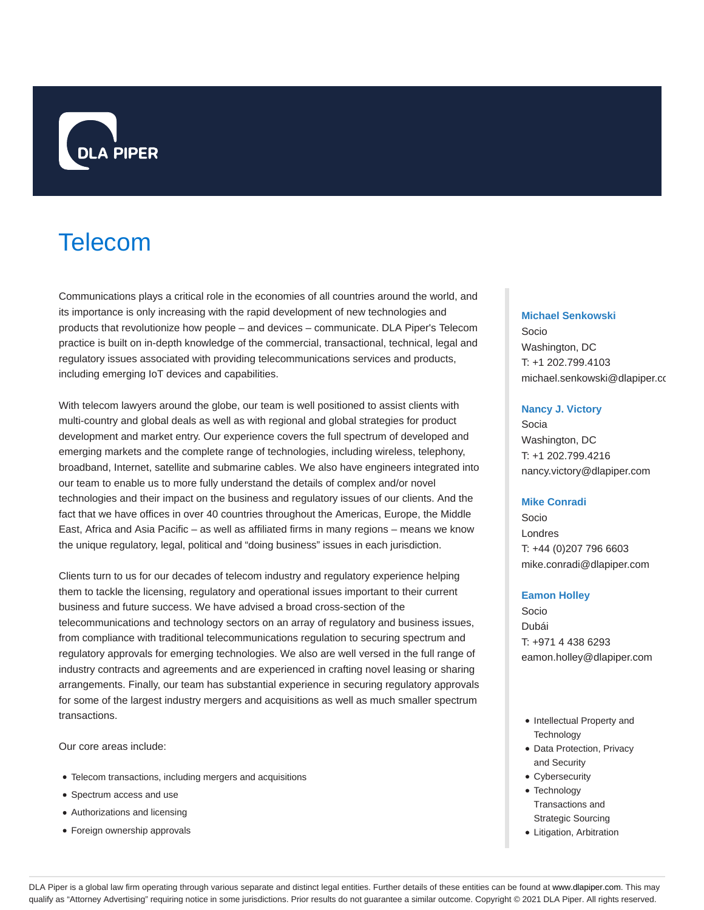

# Telecom

Communications plays a critical role in the economies of all countries around the world, and its importance is only increasing with the rapid development of new technologies and products that revolutionize how people – and devices – communicate. DLA Piper's Telecom practice is built on in-depth knowledge of the commercial, transactional, technical, legal and regulatory issues associated with providing telecommunications services and products, including emerging IoT devices and capabilities.

With telecom lawyers around the globe, our team is well positioned to assist clients with multi-country and global deals as well as with regional and global strategies for product development and market entry. Our experience covers the full spectrum of developed and emerging markets and the complete range of technologies, including wireless, telephony, broadband, Internet, satellite and submarine cables. We also have engineers integrated into our team to enable us to more fully understand the details of complex and/or novel technologies and their impact on the business and regulatory issues of our clients. And the fact that we have offices in over 40 countries throughout the Americas, Europe, the Middle East, Africa and Asia Pacific – as well as affiliated firms in many regions – means we know the unique regulatory, legal, political and "doing business" issues in each jurisdiction.

Clients turn to us for our decades of telecom industry and regulatory experience helping them to tackle the licensing, regulatory and operational issues important to their current business and future success. We have advised a broad cross-section of the telecommunications and technology sectors on an array of regulatory and business issues, from compliance with traditional telecommunications regulation to securing spectrum and regulatory approvals for emerging technologies. We also are well versed in the full range of industry contracts and agreements and are experienced in crafting novel leasing or sharing arrangements. Finally, our team has substantial experience in securing regulatory approvals for some of the largest industry mergers and acquisitions as well as much smaller spectrum transactions.

Our core areas include:

- Telecom transactions, including mergers and acquisitions
- Spectrum access and use
- Authorizations and licensing
- Foreign ownership approvals

#### **Michael Senkowski**

Socio Washington, DC T: +1 202.799.4103 michael.senkowski@dlapiper.co

#### **Nancy J. Victory**

Socia Washington, DC T: +1 202.799.4216 nancy.victory@dlapiper.com

#### **Mike Conradi**

Socio Londres T: +44 (0)207 796 6603 mike.conradi@dlapiper.com

#### **Eamon Holley**

Socio Dubái T: +971 4 438 6293 eamon.holley@dlapiper.com

- Intellectual Property and **Technology**
- Data Protection, Privacy and Security
- Cybersecurity
- Technology Transactions and Strategic Sourcing
- Litigation, Arbitration

DLA Piper is a global law firm operating through various separate and distinct legal entities. Further details of these entities can be found at www.dlapiper.com. This may qualify as "Attorney Advertising" requiring notice in some jurisdictions. Prior results do not guarantee a similar outcome. Copyright @ 2021 DLA Piper. All rights reserved.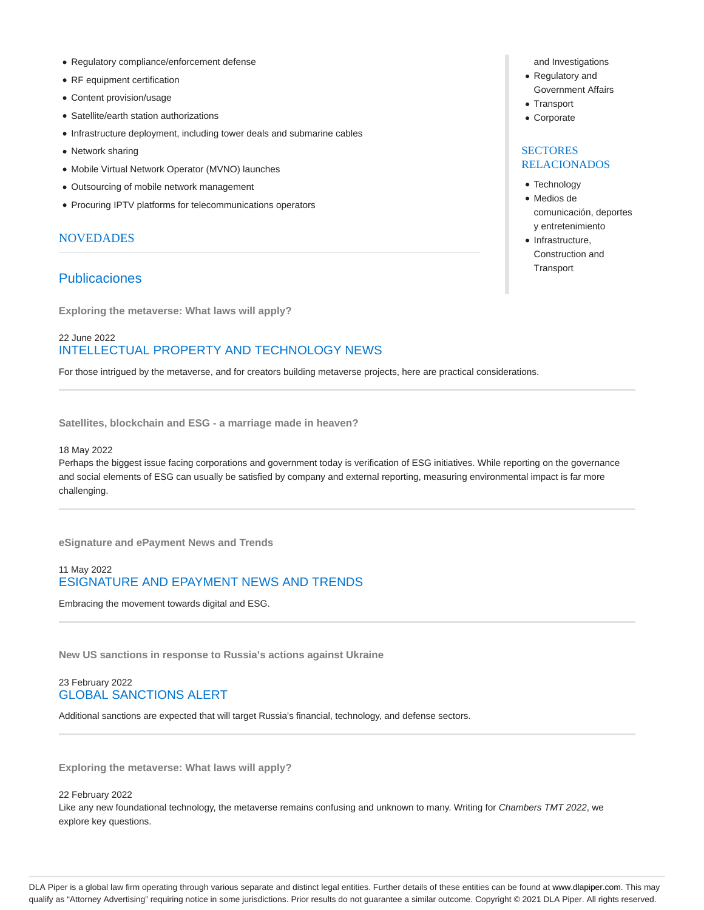- Regulatory compliance/enforcement defense
- RF equipment certification
- Content provision/usage
- Satellite/earth station authorizations
- Infrastructure deployment, including tower deals and submarine cables
- Network sharing
- Mobile Virtual Network Operator (MVNO) launches
- Outsourcing of mobile network management
- Procuring IPTV platforms for telecommunications operators

#### **NOVEDADES**

## Publicaciones

**Exploring the metaverse: What laws will apply?**

## 22 June 2022 INTELLECTUAL PROPERTY AND TECHNOLOGY NEWS

For those intrigued by the metaverse, and for creators building metaverse projects, here are practical considerations.

**Satellites, blockchain and ESG - a marriage made in heaven?**

#### 18 May 2022

Perhaps the biggest issue facing corporations and government today is verification of ESG initiatives. While reporting on the governance and social elements of ESG can usually be satisfied by company and external reporting, measuring environmental impact is far more challenging.

**eSignature and ePayment News and Trends**

## 11 May 2022 ESIGNATURE AND EPAYMENT NEWS AND TRENDS

Embracing the movement towards digital and ESG.

**New US sanctions in response to Russia's actions against Ukraine**

#### 23 February 2022 GLOBAL SANCTIONS ALERT

Additional sanctions are expected that will target Russia's financial, technology, and defense sectors.

**Exploring the metaverse: What laws will apply?**

#### 22 February 2022

Like any new foundational technology, the metaverse remains confusing and unknown to many. Writing for Chambers TMT 2022, we explore key questions.

- and Investigations
- Regulatory and Government Affairs
- Transport
- Corporate

## **SECTORES** RELACIONADOS

- Technology
- Medios de comunicación, deportes y entretenimiento
- Infrastructure, Construction and **Transport**

DLA Piper is a global law firm operating through various separate and distinct legal entities. Further details of these entities can be found at www.dlapiper.com. This may qualify as "Attorney Advertising" requiring notice in some jurisdictions. Prior results do not guarantee a similar outcome. Copyright @ 2021 DLA Piper. All rights reserved.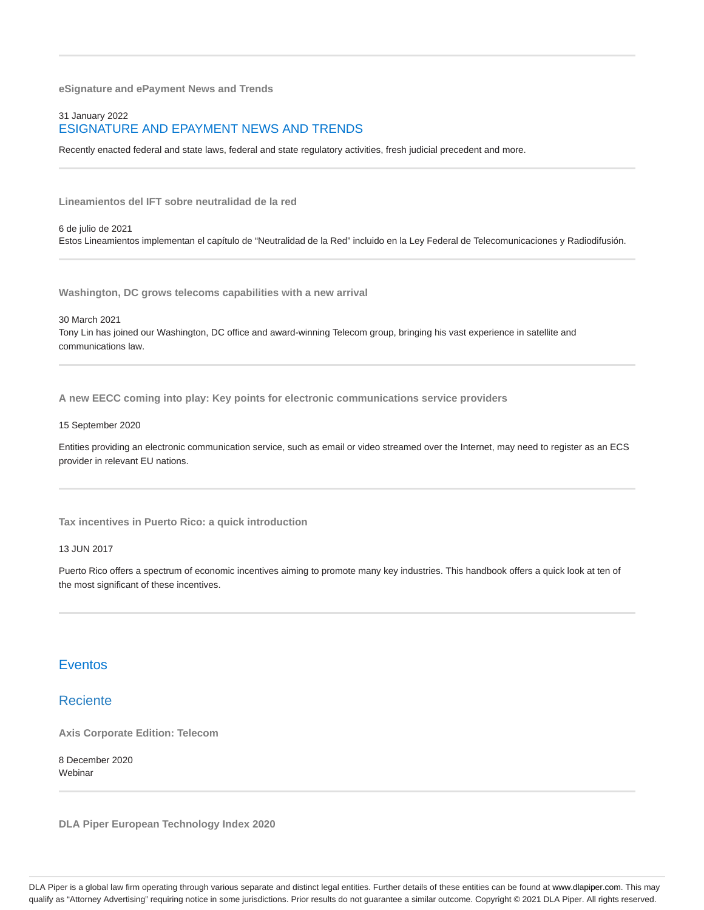**eSignature and ePayment News and Trends**

#### 31 January 2022 ESIGNATURE AND EPAYMENT NEWS AND TRENDS

Recently enacted federal and state laws, federal and state regulatory activities, fresh judicial precedent and more.

**Lineamientos del IFT sobre neutralidad de la red**

6 de julio de 2021 Estos Lineamientos implementan el capítulo de "Neutralidad de la Red" incluido en la Ley Federal de Telecomunicaciones y Radiodifusión.

**Washington, DC grows telecoms capabilities with a new arrival**

30 March 2021

Tony Lin has joined our Washington, DC office and award-winning Telecom group, bringing his vast experience in satellite and communications law.

**A new EECC coming into play: Key points for electronic communications service providers**

#### 15 September 2020

Entities providing an electronic communication service, such as email or video streamed over the Internet, may need to register as an ECS provider in relevant EU nations.

**Tax incentives in Puerto Rico: a quick introduction**

13 JUN 2017

Puerto Rico offers a spectrum of economic incentives aiming to promote many key industries. This handbook offers a quick look at ten of the most significant of these incentives.

## Eventos

## Reciente

**Axis Corporate Edition: Telecom**

8 December 2020 **Webinar** 

**DLA Piper European Technology Index 2020**

DLA Piper is a global law firm operating through various separate and distinct legal entities. Further details of these entities can be found at www.dlapiper.com. This may qualify as "Attorney Advertising" requiring notice in some jurisdictions. Prior results do not guarantee a similar outcome. Copyright @ 2021 DLA Piper. All rights reserved.